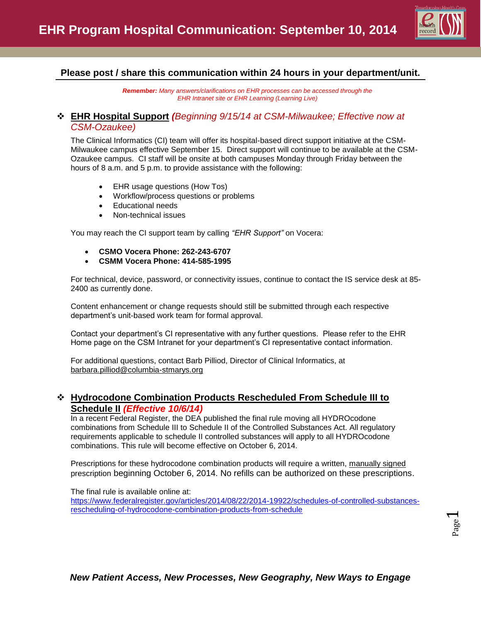

# **Please post / share this communication within 24 hours in your department/unit.**

*Remember: Many answers/clarifications on EHR processes can be accessed through the EHR Intranet site or EHR Learning (Learning Live)*

## **EHR Hospital Support** *(Beginning 9/15/14 at CSM-Milwaukee; Effective now at CSM-Ozaukee)*

The Clinical Informatics (CI) team will offer its hospital-based direct support initiative at the CSM-Milwaukee campus effective September 15. Direct support will continue to be available at the CSM-Ozaukee campus. CI staff will be onsite at both campuses Monday through Friday between the hours of 8 a.m. and 5 p.m. to provide assistance with the following:

- EHR usage questions (How Tos)
- Workflow/process questions or problems
- Educational needs
- Non-technical issues

You may reach the CI support team by calling *"EHR Support"* on Vocera:

- **CSMO Vocera Phone: 262-243-6707**
- **CSMM Vocera Phone: 414-585-1995**

For technical, device, password, or connectivity issues, continue to contact the IS service desk at 85- 2400 as currently done.

Content enhancement or change requests should still be submitted through each respective department's unit-based work team for formal approval.

Contact your department's CI representative with any further questions. Please refer to the EHR Home page on the CSM Intranet for your department's CI representative contact information.

For additional questions, contact Barb Pilliod, Director of Clinical Informatics, at [barbara.pilliod@columbia-stmarys.org](mailto:barbara.pilliod@columbia-stmarys.org)

## **Hydrocodone Combination Products Rescheduled From Schedule III to Schedule II** *(Effective 10/6/14)*

In a recent Federal Register, the DEA published the final rule moving all HYDROcodone combinations from Schedule III to Schedule II of the Controlled Substances Act. All regulatory requirements applicable to schedule II controlled substances will apply to all HYDROcodone combinations. This rule will become effective on October 6, 2014.

Prescriptions for these hydrocodone combination products will require a written, manually signed prescription beginning October 6, 2014. No refills can be authorized on these prescriptions.

#### The final rule is available online at:

[https://www.federalregister.gov/articles/2014/08/22/2014-19922/schedules-of-controlled-substances](https://www.federalregister.gov/articles/2014/08/22/2014-19922/schedules-of-controlled-substances-rescheduling-of-hydrocodone-combination-products-from-schedule)[rescheduling-of-hydrocodone-combination-products-from-schedule](https://www.federalregister.gov/articles/2014/08/22/2014-19922/schedules-of-controlled-substances-rescheduling-of-hydrocodone-combination-products-from-schedule)